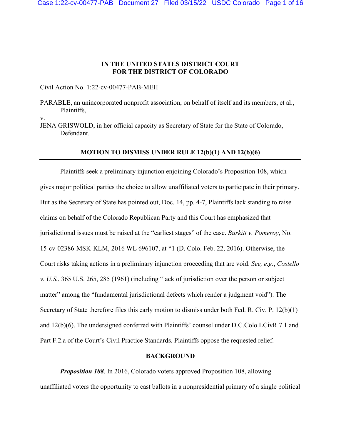## **IN THE UNITED STATES DISTRICT COURT FOR THE DISTRICT OF COLORADO**

Civil Action No. 1:22-cv-00477-PAB-MEH

v.

JENA GRISWOLD, in her official capacity as Secretary of State for the State of Colorado, Defendant.

#### **MOTION TO DISMISS UNDER RULE 12(b)(1) AND 12(b)(6)**

Plaintiffs seek a preliminary injunction enjoining Colorado's Proposition 108, which gives major political parties the choice to allow unaffiliated voters to participate in their primary. But as the Secretary of State has pointed out, Doc. 14, pp. 4-7, Plaintiffs lack standing to raise claims on behalf of the Colorado Republican Party and this Court has emphasized that jurisdictional issues must be raised at the "earliest stages" of the case. *Burkitt v. Pomeroy*, No. 15-cv-02386-MSK-KLM, 2016 WL 696107, at \*1 (D. Colo. Feb. 22, 2016). Otherwise, the Court risks taking actions in a preliminary injunction proceeding that are void. *See, e.g.*, *Costello v. U.S.*, 365 U.S. 265, 285 (1961) (including "lack of jurisdiction over the person or subject matter" among the "fundamental jurisdictional defects which render a judgment void"). The Secretary of State therefore files this early motion to dismiss under both Fed. R. Civ. P. 12(b)(1) and 12(b)(6). The undersigned conferred with Plaintiffs' counsel under D.C.Colo.LCivR 7.1 and Part F.2.a of the Court's Civil Practice Standards. Plaintiffs oppose the requested relief.

#### **BACKGROUND**

*Proposition 108*. In 2016, Colorado voters approved Proposition 108, allowing unaffiliated voters the opportunity to cast ballots in a nonpresidential primary of a single political

PARABLE, an unincorporated nonprofit association, on behalf of itself and its members, et al., Plaintiffs,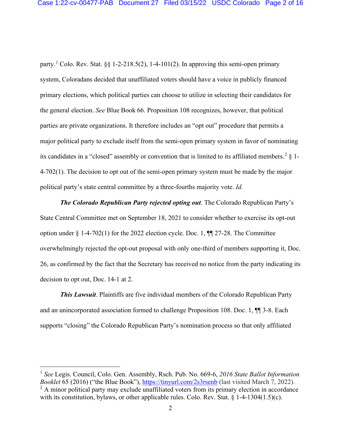party.<sup>[1](#page-1-0)</sup> Colo. Rev. Stat. §§ 1-2-218.5(2), 1-4-101(2). In approving this semi-open primary system, Coloradans decided that unaffiliated voters should have a voice in publicly financed primary elections, which political parties can choose to utilize in selecting their candidates for the general election. *See* Blue Book 66. Proposition 108 recognizes, however, that political parties are private organizations. It therefore includes an "opt out" procedure that permits a major political party to exclude itself from the semi-open primary system in favor of nominating its candidates in a "closed" assembly or convention that is limited to its affiliated members.<sup>[2](#page-1-1)</sup>  $\frac{1}{2}$  1-4-702(1). The decision to opt out of the semi-open primary system must be made by the major political party's state central committee by a three-fourths majority vote. *Id.*

*The Colorado Republican Party rejected opting out*. The Colorado Republican Party's State Central Committee met on September 18, 2021 to consider whether to exercise its opt-out option under § 1-4-702(1) for the 2022 election cycle. Doc. 1, ¶¶ 27-28. The Committee overwhelmingly rejected the opt-out proposal with only one-third of members supporting it, Doc. 26, as confirmed by the fact that the Secretary has received no notice from the party indicating its decision to opt out, Doc. 14-1 at 2.

*This Lawsuit*. Plaintiffs are five individual members of the Colorado Republican Party and an unincorporated association formed to challenge Proposition 108. Doc. 1, ¶¶ 3-8. Each supports "closing" the Colorado Republican Party's nomination process so that only affiliated

<span id="page-1-0"></span><sup>1</sup> *See* Legis. Council, Colo. Gen. Assembly, Rsch. Pub. No. 669-6, *2016 State Ballot Information Booklet* 65 (2016) ("the Blue Book"),<https://tinyurl.com/2s3rsenb> (last visited March 7, 2022).  $2 \text{ A minor political party may exclude unaffiliated voters from its primary election in accordance}$ 

<span id="page-1-1"></span>with its constitution, bylaws, or other applicable rules. Colo. Rev. Stat. § 1-4-1304(1.5)(c).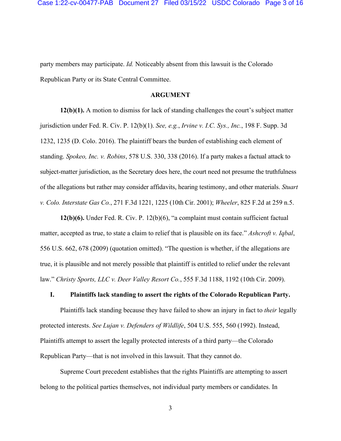party members may participate. *Id.* Noticeably absent from this lawsuit is the Colorado Republican Party or its State Central Committee.

#### **ARGUMENT**

**12(b)(1).** A motion to dismiss for lack of standing challenges the court's subject matter jurisdiction under Fed. R. Civ. P. 12(b)(1). *See, e.g.*, *Irvine v. I.C. Sys., Inc.*, 198 F. Supp. 3d 1232, 1235 (D. Colo. 2016). The plaintiff bears the burden of establishing each element of standing. *Spokeo, Inc. v. Robins*, 578 U.S. 330, 338 (2016). If a party makes a factual attack to subject-matter jurisdiction, as the Secretary does here, the court need not presume the truthfulness of the allegations but rather may consider affidavits, hearing testimony, and other materials. *Stuart v. Colo. Interstate Gas Co.*, 271 F.3d 1221, 1225 (10th Cir. 2001); *Wheeler*, 825 F.2d at 259 n.5.

**12(b)(6).** Under Fed. R. Civ. P. 12(b)(6), "a complaint must contain sufficient factual matter, accepted as true, to state a claim to relief that is plausible on its face." *Ashcroft v. Iqbal*, 556 U.S. 662, 678 (2009) (quotation omitted). "The question is whether, if the allegations are true, it is plausible and not merely possible that plaintiff is entitled to relief under the relevant law." *Christy Sports, LLC v. Deer Valley Resort Co.*, 555 F.3d 1188, 1192 (10th Cir. 2009).

### **I. Plaintiffs lack standing to assert the rights of the Colorado Republican Party.**

Plaintiffs lack standing because they have failed to show an injury in fact to *their* legally protected interests. *See Lujan v. Defenders of Wildlife*, 504 U.S. 555, 560 (1992). Instead, Plaintiffs attempt to assert the legally protected interests of a third party—the Colorado Republican Party—that is not involved in this lawsuit. That they cannot do.

Supreme Court precedent establishes that the rights Plaintiffs are attempting to assert belong to the political parties themselves, not individual party members or candidates. In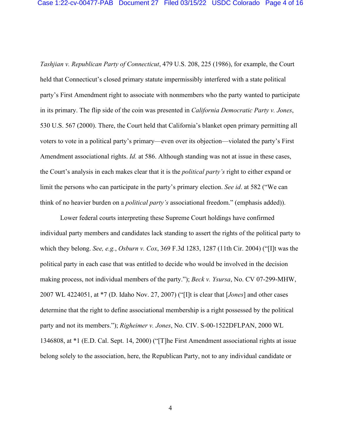*Tashjian v. Republican Party of Connecticut*, 479 U.S. 208, 225 (1986), for example, the Court held that Connecticut's closed primary statute impermissibly interfered with a state political party's First Amendment right to associate with nonmembers who the party wanted to participate in its primary. The flip side of the coin was presented in *California Democratic Party v. Jones*, 530 U.S. 567 (2000). There, the Court held that California's blanket open primary permitting all voters to vote in a political party's primary—even over its objection—violated the party's First Amendment associational rights. *Id.* at 586. Although standing was not at issue in these cases, the Court's analysis in each makes clear that it is the *political party's* right to either expand or limit the persons who can participate in the party's primary election. *See id*. at 582 ("We can think of no heavier burden on a *political party's* associational freedom." (emphasis added)).

Lower federal courts interpreting these Supreme Court holdings have confirmed individual party members and candidates lack standing to assert the rights of the political party to which they belong. *See, e.g.*, *Osburn v. Cox*, 369 F.3d 1283, 1287 (11th Cir. 2004) ("[I]t was the political party in each case that was entitled to decide who would be involved in the decision making process, not individual members of the party."); *Beck v. Ysursa*, No. CV 07-299-MHW, 2007 WL 4224051, at \*7 (D. Idaho Nov. 27, 2007) ("[I]t is clear that [*Jones*] and other cases determine that the right to define associational membership is a right possessed by the political party and not its members."); *Righeimer v. Jones*, No. CIV. S-00-1522DFLPAN, 2000 WL 1346808, at \*1 (E.D. Cal. Sept. 14, 2000) ("[T]he First Amendment associational rights at issue belong solely to the association, here, the Republican Party, not to any individual candidate or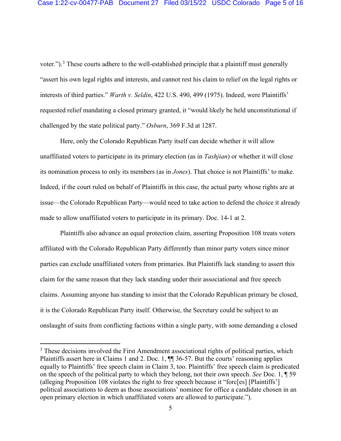voter.").<sup>[3](#page-4-0)</sup> These courts adhere to the well-established principle that a plaintiff must generally "assert his own legal rights and interests, and cannot rest his claim to relief on the legal rights or interests of third parties." *Warth v. Seldin*, 422 U.S. 490, 499 (1975). Indeed, were Plaintiffs' requested relief mandating a closed primary granted, it "would likely be held unconstitutional if challenged by the state political party." *Osburn*, 369 F.3d at 1287.

Here, only the Colorado Republican Party itself can decide whether it will allow unaffiliated voters to participate in its primary election (as in *Tashjian*) or whether it will close its nomination process to only its members (as in *Jones*). That choice is not Plaintiffs' to make. Indeed, if the court ruled on behalf of Plaintiffs in this case, the actual party whose rights are at issue—the Colorado Republican Party—would need to take action to defend the choice it already made to allow unaffiliated voters to participate in its primary. Doc. 14-1 at 2.

Plaintiffs also advance an equal protection claim, asserting Proposition 108 treats voters affiliated with the Colorado Republican Party differently than minor party voters since minor parties can exclude unaffiliated voters from primaries. But Plaintiffs lack standing to assert this claim for the same reason that they lack standing under their associational and free speech claims. Assuming anyone has standing to insist that the Colorado Republican primary be closed, it is the Colorado Republican Party itself. Otherwise, the Secretary could be subject to an onslaught of suits from conflicting factions within a single party, with some demanding a closed

<span id="page-4-0"></span><sup>&</sup>lt;sup>3</sup> These decisions involved the First Amendment associational rights of political parties, which Plaintiffs assert here in Claims 1 and 2. Doc. 1,  $\P$  36-57. But the courts' reasoning applies equally to Plaintiffs' free speech claim in Claim 3, too. Plaintiffs' free speech claim is predicated on the speech of the political party to which they belong, not their own speech. *See* Doc. 1, ¶ 59 (alleging Proposition 108 violates the right to free speech because it "forc[es] [Plaintiffs'] political associations to deem as those associations' nominee for office a candidate chosen in an open primary election in which unaffiliated voters are allowed to participate.").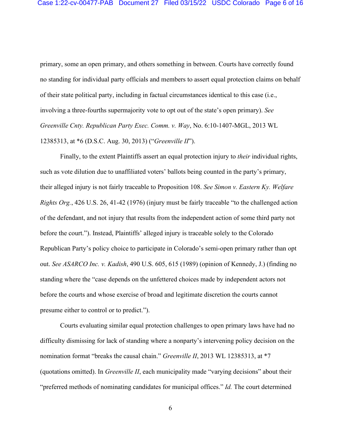primary, some an open primary, and others something in between. Courts have correctly found no standing for individual party officials and members to assert equal protection claims on behalf of their state political party, including in factual circumstances identical to this case (i.e., involving a three-fourths supermajority vote to opt out of the state's open primary). *See Greenville Cnty. Republican Party Exec. Comm. v. Way*, No. 6:10-1407-MGL, 2013 WL 12385313, at \*6 (D.S.C. Aug. 30, 2013) ("*Greenville II*").

Finally, to the extent Plaintiffs assert an equal protection injury to *their* individual rights, such as vote dilution due to unaffiliated voters' ballots being counted in the party's primary, their alleged injury is not fairly traceable to Proposition 108. *See Simon v. Eastern Ky. Welfare Rights Org.*, 426 U.S. 26, 41-42 (1976) (injury must be fairly traceable "to the challenged action of the defendant, and not injury that results from the independent action of some third party not before the court."). Instead, Plaintiffs' alleged injury is traceable solely to the Colorado Republican Party's policy choice to participate in Colorado's semi-open primary rather than opt out. *See ASARCO Inc. v. Kadish*, 490 U.S. 605, 615 (1989) (opinion of Kennedy, J.) (finding no standing where the "case depends on the unfettered choices made by independent actors not before the courts and whose exercise of broad and legitimate discretion the courts cannot presume either to control or to predict.").

Courts evaluating similar equal protection challenges to open primary laws have had no difficulty dismissing for lack of standing where a nonparty's intervening policy decision on the nomination format "breaks the causal chain." *Greenville II*, 2013 WL 12385313, at \*7 (quotations omitted). In *Greenville II*, each municipality made "varying decisions" about their "preferred methods of nominating candidates for municipal offices." *Id.* The court determined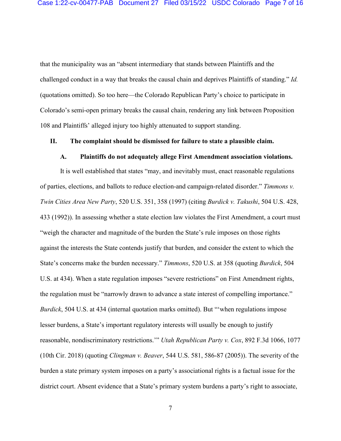that the municipality was an "absent intermediary that stands between Plaintiffs and the challenged conduct in a way that breaks the causal chain and deprives Plaintiffs of standing." *Id.* (quotations omitted). So too here—the Colorado Republican Party's choice to participate in Colorado's semi-open primary breaks the causal chain, rendering any link between Proposition 108 and Plaintiffs' alleged injury too highly attenuated to support standing.

#### **II. The complaint should be dismissed for failure to state a plausible claim.**

### **A. Plaintiffs do not adequately allege First Amendment association violations.**

It is well established that states "may, and inevitably must, enact reasonable regulations of parties, elections, and ballots to reduce election-and campaign-related disorder." *Timmons v. Twin Cities Area New Party*, 520 U.S. 351, 358 (1997) (citing *Burdick v. Takushi*, 504 U.S. 428, 433 (1992)). In assessing whether a state election law violates the First Amendment, a court must "weigh the character and magnitude of the burden the State's rule imposes on those rights against the interests the State contends justify that burden, and consider the extent to which the State's concerns make the burden necessary." *Timmons*, 520 U.S. at 358 (quoting *Burdick*, 504 U.S. at 434). When a state regulation imposes "severe restrictions" on First Amendment rights, the regulation must be "narrowly drawn to advance a state interest of compelling importance." *Burdick*, 504 U.S. at 434 (internal quotation marks omitted). But "'when regulations impose lesser burdens, a State's important regulatory interests will usually be enough to justify reasonable, nondiscriminatory restrictions.'" *Utah Republican Party v. Cox*, 892 F.3d 1066, 1077 (10th Cir. 2018) (quoting *Clingman v. Beaver*, 544 U.S. 581, 586-87 (2005)). The severity of the burden a state primary system imposes on a party's associational rights is a factual issue for the district court. Absent evidence that a State's primary system burdens a party's right to associate,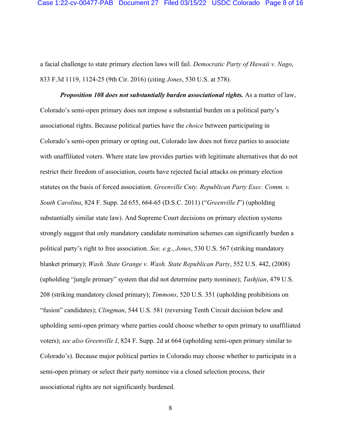a facial challenge to state primary election laws will fail. *Democratic Party of Hawaii v. Nago*, 833 F.3d 1119, 1124-25 (9th Cir. 2016) (citing *Jones*, 530 U.S. at 578).

*Proposition 108 does not substantially burden associational rights.* As a matter of law, Colorado's semi-open primary does not impose a substantial burden on a political party's associational rights. Because political parties have the *choice* between participating in Colorado's semi-open primary or opting out, Colorado law does not force parties to associate with unaffiliated voters. Where state law provides parties with legitimate alternatives that do not restrict their freedom of association, courts have rejected facial attacks on primary election statutes on the basis of forced association. *Greenville Cnty. Republican Party Exec. Comm. v. South Carolina*, 824 F. Supp. 2d 655, 664-65 (D.S.C. 2011) ("*Greenville I*") (upholding substantially similar state law). And Supreme Court decisions on primary election systems strongly suggest that only mandatory candidate nomination schemes can significantly burden a political party's right to free association. *See, e.g.*, *Jones*, 530 U.S. 567 (striking mandatory blanket primary); *Wash. State Grange v. Wash. State Republican Party*, 552 U.S. 442, (2008) (upholding "jungle primary" system that did not determine party nominee); *Tashjian*, 479 U.S. 208 (striking mandatory closed primary); *Timmons*, 520 U.S. 351 (upholding prohibitions on "fusion" candidates); *Clingman*, 544 U.S. 581 (reversing Tenth Circuit decision below and upholding semi-open primary where parties could choose whether to open primary to unaffiliated voters); *see also Greenville I*, 824 F. Supp. 2d at 664 (upholding semi-open primary similar to Colorado's). Because major political parties in Colorado may choose whether to participate in a semi-open primary or select their party nominee via a closed selection process, their associational rights are not significantly burdened.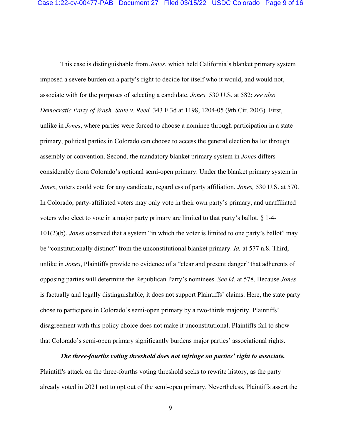This case is distinguishable from *Jones*, which held California's blanket primary system imposed a severe burden on a party's right to decide for itself who it would, and would not, associate with for the purposes of selecting a candidate. *Jones,* 530 U.S. at 582; *see also Democratic Party of Wash. State v. Reed,* 343 F.3d at 1198, 1204-05 (9th Cir. 2003). First, unlike in *Jones*, where parties were forced to choose a nominee through participation in a state primary, political parties in Colorado can choose to access the general election ballot through assembly or convention. Second, the mandatory blanket primary system in *Jones* differs considerably from Colorado's optional semi-open primary. Under the blanket primary system in *Jones*, voters could vote for any candidate, regardless of party affiliation. *Jones,* 530 U.S. at 570. In Colorado, party-affiliated voters may only vote in their own party's primary, and unaffiliated voters who elect to vote in a major party primary are limited to that party's ballot. § 1-4- 101(2)(b). *Jones* observed that a system "in which the voter is limited to one party's ballot" may be "constitutionally distinct" from the unconstitutional blanket primary. *Id.* at 577 n.8. Third, unlike in *Jones*, Plaintiffs provide no evidence of a "clear and present danger" that adherents of opposing parties will determine the Republican Party's nominees. *See id.* at 578. Because *Jones* is factually and legally distinguishable, it does not support Plaintiffs' claims. Here, the state party chose to participate in Colorado's semi-open primary by a two-thirds majority. Plaintiffs' disagreement with this policy choice does not make it unconstitutional. Plaintiffs fail to show that Colorado's semi-open primary significantly burdens major parties' associational rights.

*The three-fourths voting threshold does not infringe on parties' right to associate.* Plaintiff's attack on the three-fourths voting threshold seeks to rewrite history, as the party already voted in 2021 not to opt out of the semi-open primary. Nevertheless, Plaintiffs assert the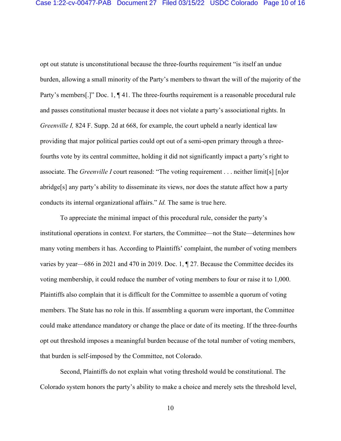opt out statute is unconstitutional because the three-fourths requirement "is itself an undue burden, allowing a small minority of the Party's members to thwart the will of the majority of the Party's members[.]" Doc. 1, ¶41. The three-fourths requirement is a reasonable procedural rule and passes constitutional muster because it does not violate a party's associational rights. In *Greenville I,* 824 F. Supp. 2d at 668, for example, the court upheld a nearly identical law providing that major political parties could opt out of a semi-open primary through a threefourths vote by its central committee, holding it did not significantly impact a party's right to associate. The *Greenville I* court reasoned: "The voting requirement . . . neither limit[s] [n]or abridge[s] any party's ability to disseminate its views, nor does the statute affect how a party conducts its internal organizational affairs." *Id.* The same is true here.

To appreciate the minimal impact of this procedural rule, consider the party's institutional operations in context. For starters, the Committee—not the State—determines how many voting members it has. According to Plaintiffs' complaint, the number of voting members varies by year—686 in 2021 and 470 in 2019. Doc. 1, ¶ 27. Because the Committee decides its voting membership, it could reduce the number of voting members to four or raise it to 1,000. Plaintiffs also complain that it is difficult for the Committee to assemble a quorum of voting members. The State has no role in this. If assembling a quorum were important, the Committee could make attendance mandatory or change the place or date of its meeting. If the three-fourths opt out threshold imposes a meaningful burden because of the total number of voting members, that burden is self-imposed by the Committee, not Colorado.

Second, Plaintiffs do not explain what voting threshold would be constitutional. The Colorado system honors the party's ability to make a choice and merely sets the threshold level,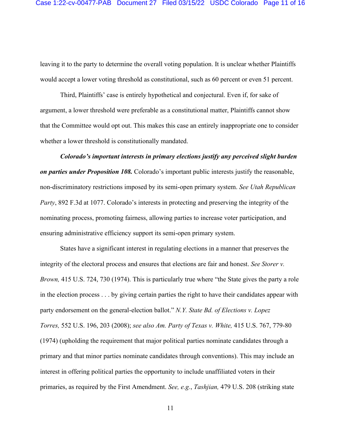leaving it to the party to determine the overall voting population. It is unclear whether Plaintiffs would accept a lower voting threshold as constitutional, such as 60 percent or even 51 percent.

Third, Plaintiffs' case is entirely hypothetical and conjectural. Even if, for sake of argument, a lower threshold were preferable as a constitutional matter, Plaintiffs cannot show that the Committee would opt out. This makes this case an entirely inappropriate one to consider whether a lower threshold is constitutionally mandated.

*Colorado's important interests in primary elections justify any perceived slight burden on parties under Proposition 108.* Colorado's important public interests justify the reasonable, non-discriminatory restrictions imposed by its semi-open primary system. *See Utah Republican Party*, 892 F.3d at 1077. Colorado's interests in protecting and preserving the integrity of the nominating process, promoting fairness, allowing parties to increase voter participation, and ensuring administrative efficiency support its semi-open primary system.

States have a significant interest in regulating elections in a manner that preserves the integrity of the electoral process and ensures that elections are fair and honest. *See Storer v. Brown,* 415 U.S. 724, 730 (1974). This is particularly true where "the State gives the party a role in the election process . . . by giving certain parties the right to have their candidates appear with party endorsement on the general-election ballot." *N.Y. State Bd. of Elections v. Lopez Torres,* 552 U.S. 196, 203 (2008); *see also Am. Party of Texas v. White,* 415 U.S. 767, 779-80 (1974) (upholding the requirement that major political parties nominate candidates through a primary and that minor parties nominate candidates through conventions). This may include an interest in offering political parties the opportunity to include unaffiliated voters in their primaries, as required by the First Amendment. *See, e.g.*, *Tashjian,* 479 U.S. 208 (striking state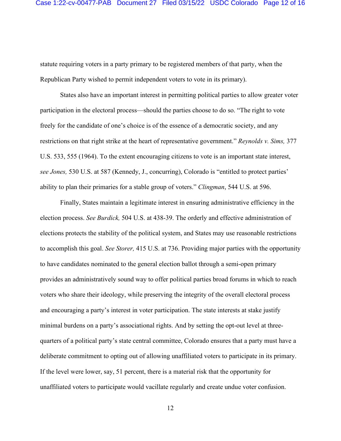statute requiring voters in a party primary to be registered members of that party, when the Republican Party wished to permit independent voters to vote in its primary).

States also have an important interest in permitting political parties to allow greater voter participation in the electoral process—should the parties choose to do so. "The right to vote freely for the candidate of one's choice is of the essence of a democratic society, and any restrictions on that right strike at the heart of representative government." *Reynolds v. Sims,* 377 U.S. 533, 555 (1964). To the extent encouraging citizens to vote is an important state interest, *see Jones,* 530 U.S. at 587 (Kennedy, J., concurring), Colorado is "entitled to protect parties' ability to plan their primaries for a stable group of voters." *Clingman*, 544 U.S. at 596.

Finally, States maintain a legitimate interest in ensuring administrative efficiency in the election process. *See Burdick,* 504 U.S. at 438-39. The orderly and effective administration of elections protects the stability of the political system, and States may use reasonable restrictions to accomplish this goal. *See Storer,* 415 U.S. at 736. Providing major parties with the opportunity to have candidates nominated to the general election ballot through a semi-open primary provides an administratively sound way to offer political parties broad forums in which to reach voters who share their ideology, while preserving the integrity of the overall electoral process and encouraging a party's interest in voter participation. The state interests at stake justify minimal burdens on a party's associational rights. And by setting the opt-out level at threequarters of a political party's state central committee, Colorado ensures that a party must have a deliberate commitment to opting out of allowing unaffiliated voters to participate in its primary. If the level were lower, say, 51 percent, there is a material risk that the opportunity for unaffiliated voters to participate would vacillate regularly and create undue voter confusion.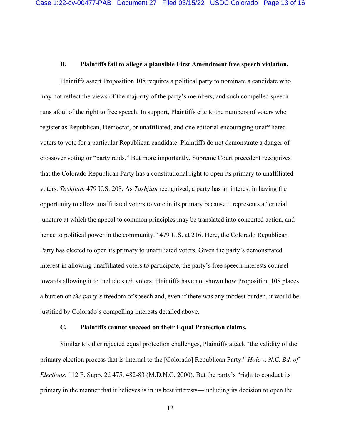### **B. Plaintiffs fail to allege a plausible First Amendment free speech violation.**

Plaintiffs assert Proposition 108 requires a political party to nominate a candidate who may not reflect the views of the majority of the party's members, and such compelled speech runs afoul of the right to free speech. In support, Plaintiffs cite to the numbers of voters who register as Republican, Democrat, or unaffiliated, and one editorial encouraging unaffiliated voters to vote for a particular Republican candidate. Plaintiffs do not demonstrate a danger of crossover voting or "party raids." But more importantly, Supreme Court precedent recognizes that the Colorado Republican Party has a constitutional right to open its primary to unaffiliated voters. *Tashjian,* 479 U.S. 208. As *Tashjian* recognized, a party has an interest in having the opportunity to allow unaffiliated voters to vote in its primary because it represents a "crucial juncture at which the appeal to common principles may be translated into concerted action, and hence to political power in the community." 479 U.S. at 216. Here, the Colorado Republican Party has elected to open its primary to unaffiliated voters. Given the party's demonstrated interest in allowing unaffiliated voters to participate, the party's free speech interests counsel towards allowing it to include such voters. Plaintiffs have not shown how Proposition 108 places a burden on *the party's* freedom of speech and, even if there was any modest burden, it would be justified by Colorado's compelling interests detailed above.

#### **C. Plaintiffs cannot succeed on their Equal Protection claims.**

Similar to other rejected equal protection challenges, Plaintiffs attack "the validity of the primary election process that is internal to the [Colorado] Republican Party." *Hole v. N.C. Bd. of Elections*, 112 F. Supp. 2d 475, 482-83 (M.D.N.C. 2000). But the party's "right to conduct its primary in the manner that it believes is in its best interests—including its decision to open the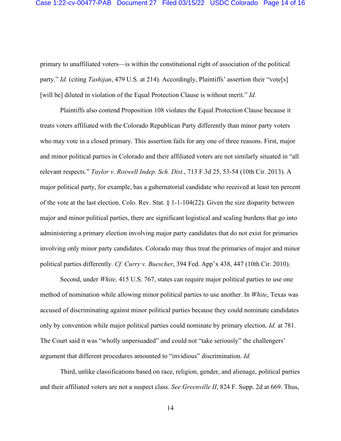primary to unaffiliated voters—is within the constitutional right of association of the political party." *Id.* (citing *Tashijan*, 479 U.S. at 214). Accordingly, Plaintiffs' assertion their "vote[s] [will be] diluted in violation of the Equal Protection Clause is without merit." *Id.* 

Plaintiffs also contend Proposition 108 violates the Equal Protection Clause because it treats voters affiliated with the Colorado Republican Party differently than minor party voters who may vote in a closed primary. This assertion fails for any one of three reasons. First, major and minor political parties in Colorado and their affiliated voters are not similarly situated in "all relevant respects." *Taylor v. Roswell Indep. Sch. Dist.*, 713 F.3d 25, 53-54 (10th Cir. 2013). A major political party, for example, has a gubernatorial candidate who received at least ten percent of the vote at the last election. Colo. Rev. Stat.  $\S 1$ -1-104(22). Given the size disparity between major and minor political parties, there are significant logistical and scaling burdens that go into administering a primary election involving major party candidates that do not exist for primaries involving only minor party candidates. Colorado may thus treat the primaries of major and minor political parties differently. *Cf. Curry v. Buescher*, 394 Fed. App'x 438, 447 (10th Cir. 2010).

Second, under *White,* 415 U.S. 767, states can require major political parties to use one method of nomination while allowing minor political parties to use another. In *White*, Texas was accused of discriminating against minor political parties because they could nominate candidates only by convention while major political parties could nominate by primary election. *Id.* at 781. The Court said it was "wholly unpersuaded" and could not "take seriously" the challengers' argument that different procedures amounted to "invidious" discrimination. *Id.*

Third, unlike classifications based on race, religion, gender, and alienage, political parties and their affiliated voters are not a suspect class. *See Greenville II*, 824 F. Supp. 2d at 669. Thus,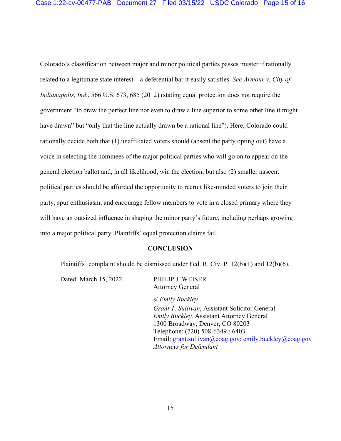Colorado's classification between major and minor political parties passes muster if rationally related to a legitimate state interest—a deferential bar it easily satisfies. *See Armour v. City of Indianapolis, Ind*., 566 U.S. 673, 685 (2012) (stating equal protection does not require the government "to draw the perfect line nor even to draw a line superior to some other line it might have drawn" but "only that the line actually drawn be a rational line"). Here, Colorado could rationally decide both that (1) unaffiliated voters should (absent the party opting out) have a voice in selecting the nominees of the major political parties who will go on to appear on the general election ballot and, in all likelihood, win the election, but also (2) smaller nascent political parties should be afforded the opportunity to recruit like-minded voters to join their party, spur enthusiasm, and encourage fellow members to vote in a closed primary where they will have an outsized influence in shaping the minor party's future, including perhaps growing into a major political party. Plaintiffs' equal protection claims fail.

#### **CONCLUSION**

Plaintiffs' complaint should be dismissed under Fed. R. Civ. P. 12(b)(1) and 12(b)(6).

Dated: March 15, 2022 PHILIP J. WEISER

Attorney General

s/ *Emily Buckley*

*Grant T. Sullivan*, Assistant Solicitor General *Emily Buckley,* Assistant Attorney General 1300 Broadway, Denver, CO 80203 Telephone: (720) 508-6349 / 6403 Email: [grant.sullivan@coag.gov;](mailto:grant.sullivan@coag.gov) emily.buckley@coag.gov *Attorneys for Defendant*